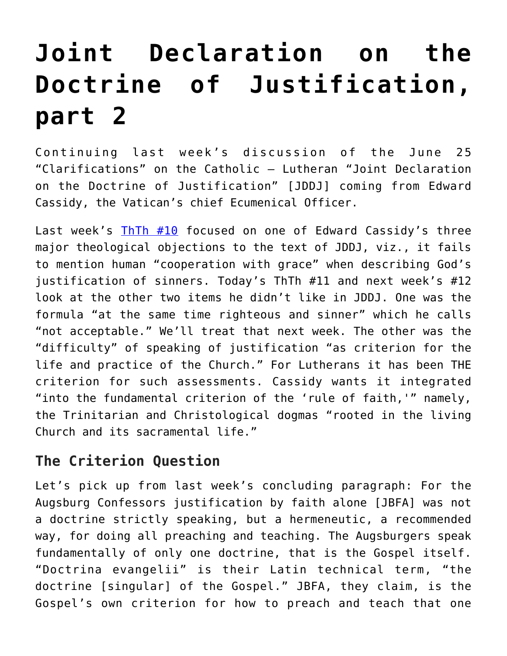## **[Joint Declaration on the](https://crossings.org/joint-declaration-on-the-doctrine-of-justification-part-2/) [Doctrine of Justification,](https://crossings.org/joint-declaration-on-the-doctrine-of-justification-part-2/) [part 2](https://crossings.org/joint-declaration-on-the-doctrine-of-justification-part-2/)**

Continuing last week's discussion of the June 25 "Clarifications" on the Catholic – Lutheran "Joint Declaration on the Doctrine of Justification" [JDDJ] coming from Edward Cassidy, the Vatican's chief Ecumenical Officer.

Last week's [ThTh #10](https://crossings.org/thursday/1998/Thur0723.htm) focused on one of Edward Cassidy's three major theological objections to the text of JDDJ, viz., it fails to mention human "cooperation with grace" when describing God's justification of sinners. Today's ThTh #11 and next week's #12 look at the other two items he didn't like in JDDJ. One was the formula "at the same time righteous and sinner" which he calls "not acceptable." We'll treat that next week. The other was the "difficulty" of speaking of justification "as criterion for the life and practice of the Church." For Lutherans it has been THE criterion for such assessments. Cassidy wants it integrated "into the fundamental criterion of the 'rule of faith,'" namely, the Trinitarian and Christological dogmas "rooted in the living Church and its sacramental life."

## **The Criterion Question**

Let's pick up from last week's concluding paragraph: For the Augsburg Confessors justification by faith alone [JBFA] was not a doctrine strictly speaking, but a hermeneutic, a recommended way, for doing all preaching and teaching. The Augsburgers speak fundamentally of only one doctrine, that is the Gospel itself. "Doctrina evangelii" is their Latin technical term, "the doctrine [singular] of the Gospel." JBFA, they claim, is the Gospel's own criterion for how to preach and teach that one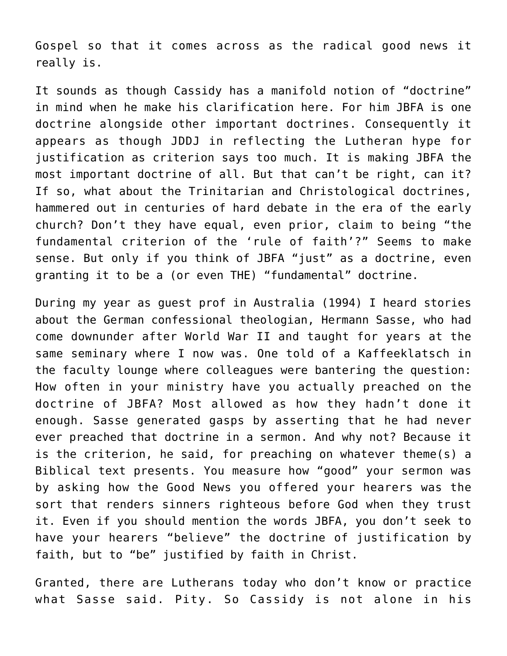Gospel so that it comes across as the radical good news it really is.

It sounds as though Cassidy has a manifold notion of "doctrine" in mind when he make his clarification here. For him JBFA is one doctrine alongside other important doctrines. Consequently it appears as though JDDJ in reflecting the Lutheran hype for justification as criterion says too much. It is making JBFA the most important doctrine of all. But that can't be right, can it? If so, what about the Trinitarian and Christological doctrines, hammered out in centuries of hard debate in the era of the early church? Don't they have equal, even prior, claim to being "the fundamental criterion of the 'rule of faith'?" Seems to make sense. But only if you think of JBFA "just" as a doctrine, even granting it to be a (or even THE) "fundamental" doctrine.

During my year as guest prof in Australia (1994) I heard stories about the German confessional theologian, Hermann Sasse, who had come downunder after World War II and taught for years at the same seminary where I now was. One told of a Kaffeeklatsch in the faculty lounge where colleagues were bantering the question: How often in your ministry have you actually preached on the doctrine of JBFA? Most allowed as how they hadn't done it enough. Sasse generated gasps by asserting that he had never ever preached that doctrine in a sermon. And why not? Because it is the criterion, he said, for preaching on whatever theme(s) a Biblical text presents. You measure how "good" your sermon was by asking how the Good News you offered your hearers was the sort that renders sinners righteous before God when they trust it. Even if you should mention the words JBFA, you don't seek to have your hearers "believe" the doctrine of justification by faith, but to "be" justified by faith in Christ.

Granted, there are Lutherans today who don't know or practice what Sasse said. Pity. So Cassidy is not alone in his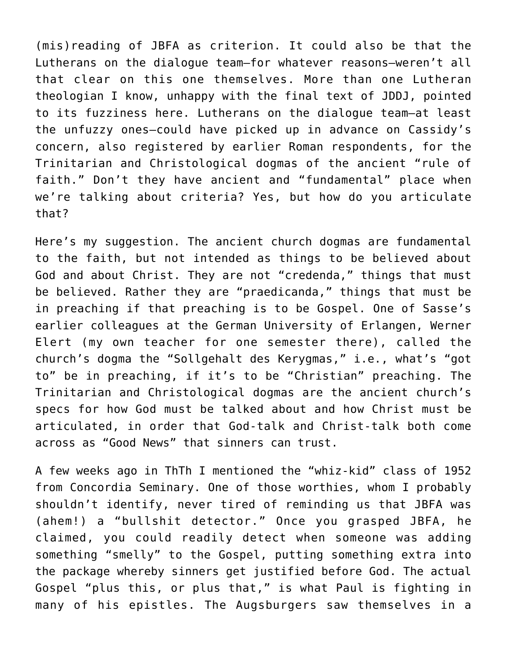(mis)reading of JBFA as criterion. It could also be that the Lutherans on the dialogue team–for whatever reasons–weren't all that clear on this one themselves. More than one Lutheran theologian I know, unhappy with the final text of JDDJ, pointed to its fuzziness here. Lutherans on the dialogue team–at least the unfuzzy ones–could have picked up in advance on Cassidy's concern, also registered by earlier Roman respondents, for the Trinitarian and Christological dogmas of the ancient "rule of faith." Don't they have ancient and "fundamental" place when we're talking about criteria? Yes, but how do you articulate that?

Here's my suggestion. The ancient church dogmas are fundamental to the faith, but not intended as things to be believed about God and about Christ. They are not "credenda," things that must be believed. Rather they are "praedicanda," things that must be in preaching if that preaching is to be Gospel. One of Sasse's earlier colleagues at the German University of Erlangen, Werner Elert (my own teacher for one semester there), called the church's dogma the "Sollgehalt des Kerygmas," i.e., what's "got to" be in preaching, if it's to be "Christian" preaching. The Trinitarian and Christological dogmas are the ancient church's specs for how God must be talked about and how Christ must be articulated, in order that God-talk and Christ-talk both come across as "Good News" that sinners can trust.

A few weeks ago in ThTh I mentioned the "whiz-kid" class of 1952 from Concordia Seminary. One of those worthies, whom I probably shouldn't identify, never tired of reminding us that JBFA was (ahem!) a "bullshit detector." Once you grasped JBFA, he claimed, you could readily detect when someone was adding something "smelly" to the Gospel, putting something extra into the package whereby sinners get justified before God. The actual Gospel "plus this, or plus that," is what Paul is fighting in many of his epistles. The Augsburgers saw themselves in a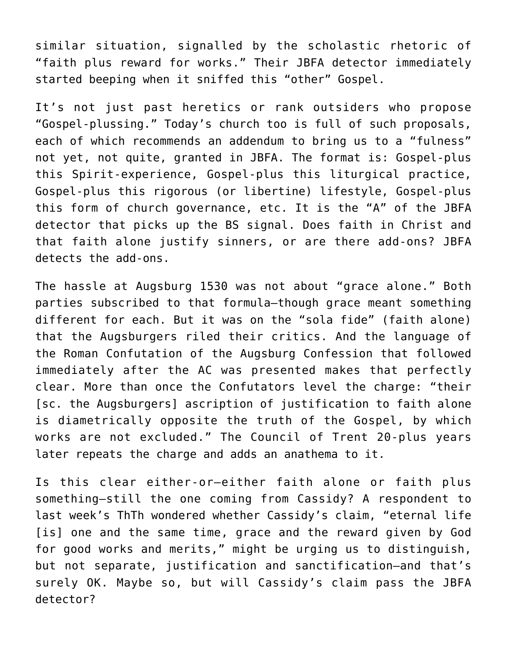similar situation, signalled by the scholastic rhetoric of "faith plus reward for works." Their JBFA detector immediately started beeping when it sniffed this "other" Gospel.

It's not just past heretics or rank outsiders who propose "Gospel-plussing." Today's church too is full of such proposals, each of which recommends an addendum to bring us to a "fulness" not yet, not quite, granted in JBFA. The format is: Gospel-plus this Spirit-experience, Gospel-plus this liturgical practice, Gospel-plus this rigorous (or libertine) lifestyle, Gospel-plus this form of church governance, etc. It is the "A" of the JBFA detector that picks up the BS signal. Does faith in Christ and that faith alone justify sinners, or are there add-ons? JBFA detects the add-ons.

The hassle at Augsburg 1530 was not about "grace alone." Both parties subscribed to that formula–though grace meant something different for each. But it was on the "sola fide" (faith alone) that the Augsburgers riled their critics. And the language of the Roman Confutation of the Augsburg Confession that followed immediately after the AC was presented makes that perfectly clear. More than once the Confutators level the charge: "their [sc. the Augsburgers] ascription of justification to faith alone is diametrically opposite the truth of the Gospel, by which works are not excluded." The Council of Trent 20-plus years later repeats the charge and adds an anathema to it.

Is this clear either-or–either faith alone or faith plus something–still the one coming from Cassidy? A respondent to last week's ThTh wondered whether Cassidy's claim, "eternal life [is] one and the same time, grace and the reward given by God for good works and merits," might be urging us to distinguish, but not separate, justification and sanctification–and that's surely OK. Maybe so, but will Cassidy's claim pass the JBFA detector?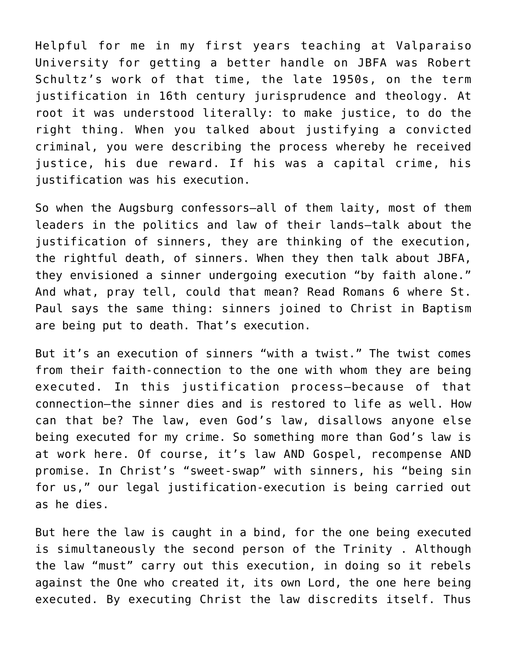Helpful for me in my first years teaching at Valparaiso University for getting a better handle on JBFA was Robert Schultz's work of that time, the late 1950s, on the term justification in 16th century jurisprudence and theology. At root it was understood literally: to make justice, to do the right thing. When you talked about justifying a convicted criminal, you were describing the process whereby he received justice, his due reward. If his was a capital crime, his justification was his execution.

So when the Augsburg confessors–all of them laity, most of them leaders in the politics and law of their lands–talk about the justification of sinners, they are thinking of the execution, the rightful death, of sinners. When they then talk about JBFA, they envisioned a sinner undergoing execution "by faith alone." And what, pray tell, could that mean? Read Romans 6 where St. Paul says the same thing: sinners joined to Christ in Baptism are being put to death. That's execution.

But it's an execution of sinners "with a twist." The twist comes from their faith-connection to the one with whom they are being executed. In this justification process–because of that connection–the sinner dies and is restored to life as well. How can that be? The law, even God's law, disallows anyone else being executed for my crime. So something more than God's law is at work here. Of course, it's law AND Gospel, recompense AND promise. In Christ's "sweet-swap" with sinners, his "being sin for us," our legal justification-execution is being carried out as he dies.

But here the law is caught in a bind, for the one being executed is simultaneously the second person of the Trinity . Although the law "must" carry out this execution, in doing so it rebels against the One who created it, its own Lord, the one here being executed. By executing Christ the law discredits itself. Thus